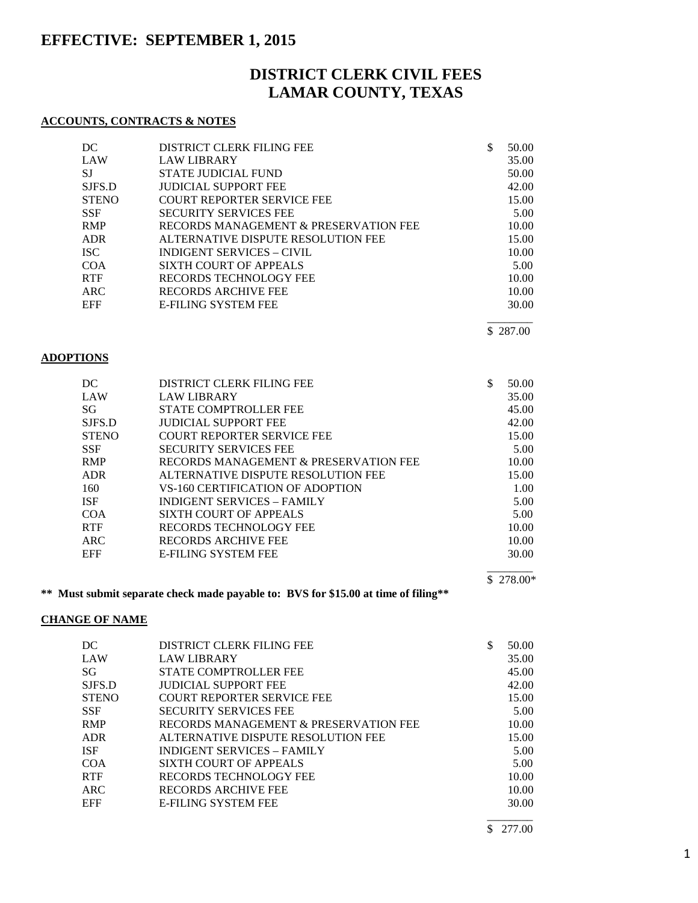# **EFFECTIVE: SEPTEMBER 1, 2015**

# **DISTRICT CLERK CIVIL FEES LAMAR COUNTY, TEXAS**

### **ACCOUNTS, CONTRACTS & NOTES**

| DC           | DISTRICT CLERK FILING FEE             | \$<br>50.00 |
|--------------|---------------------------------------|-------------|
| LAW          | <b>LAW LIBRARY</b>                    | 35.00       |
| <b>SJ</b>    | STATE JUDICIAL FUND                   | 50.00       |
| SJFS.D       | <b>JUDICIAL SUPPORT FEE</b>           | 42.00       |
| <b>STENO</b> | <b>COURT REPORTER SERVICE FEE</b>     | 15.00       |
| <b>SSF</b>   | <b>SECURITY SERVICES FEE</b>          | 5.00        |
| <b>RMP</b>   | RECORDS MANAGEMENT & PRESERVATION FEE | 10.00       |
| ADR          | ALTERNATIVE DISPUTE RESOLUTION FEE    | 15.00       |
| <b>ISC</b>   | INDIGENT SERVICES – CIVIL             | 10.00       |
| COA          | <b>SIXTH COURT OF APPEALS</b>         | 5.00        |
| <b>RTF</b>   | RECORDS TECHNOLOGY FEE                | 10.00       |
| ARC          | RECORDS ARCHIVE FEE                   | 10.00       |
| EFF          | <b>E-FILING SYSTEM FEE</b>            | 30.00       |
|              |                                       |             |

\$ 287.00

### **ADOPTIONS**

| DC           | DISTRICT CLERK FILING FEE             | 50.00 |
|--------------|---------------------------------------|-------|
| LAW          | <b>LAW LIBRARY</b>                    | 35.00 |
| SG           | STATE COMPTROLLER FEE                 | 45.00 |
| SJFS.D       | <b>JUDICIAL SUPPORT FEE</b>           | 42.00 |
| <b>STENO</b> | <b>COURT REPORTER SERVICE FEE</b>     | 15.00 |
| <b>SSF</b>   | <b>SECURITY SERVICES FEE</b>          | 5.00  |
| <b>RMP</b>   | RECORDS MANAGEMENT & PRESERVATION FEE | 10.00 |
| <b>ADR</b>   | ALTERNATIVE DISPUTE RESOLUTION FEE    | 15.00 |
| 160          | VS-160 CERTIFICATION OF ADOPTION      | 1.00  |
| <b>ISF</b>   | <b>INDIGENT SERVICES - FAMILY</b>     | 5.00  |
| COA          | SIXTH COURT OF APPEALS                | 5.00  |
| <b>RTF</b>   | RECORDS TECHNOLOGY FEE                | 10.00 |
| ARC          | RECORDS ARCHIVE FEE                   | 10.00 |
| EFF          | <b>E-FILING SYSTEM FEE</b>            | 30.00 |
|              |                                       |       |

### **\*\* Must submit separate check made payable to: BVS for \$15.00 at time of filing\*\***

### **CHANGE OF NAME**

| DC           | DISTRICT CLERK FILING FEE             | 50.00 |
|--------------|---------------------------------------|-------|
| LAW          | <b>LAW LIBRARY</b>                    | 35.00 |
| SG           | STATE COMPTROLLER FEE                 | 45.00 |
| SJFS.D       | <b>JUDICIAL SUPPORT FEE</b>           | 42.00 |
| <b>STENO</b> | <b>COURT REPORTER SERVICE FEE</b>     | 15.00 |
| <b>SSF</b>   | <b>SECURITY SERVICES FEE</b>          | 5.00  |
| <b>RMP</b>   | RECORDS MANAGEMENT & PRESERVATION FEE | 10.00 |
| <b>ADR</b>   | ALTERNATIVE DISPUTE RESOLUTION FEE    | 15.00 |
| <b>ISF</b>   | INDIGENT SERVICES - FAMILY            | 5.00  |
| COA          | SIXTH COURT OF APPEALS                | 5.00  |
| <b>RTF</b>   | RECORDS TECHNOLOGY FEE                | 10.00 |
| ARC          | RECORDS ARCHIVE FEE                   | 10.00 |
| <b>EFF</b>   | <b>E-FILING SYSTEM FEE</b>            | 30.00 |
|              |                                       |       |

\$ 277.00

\$ 278.00\*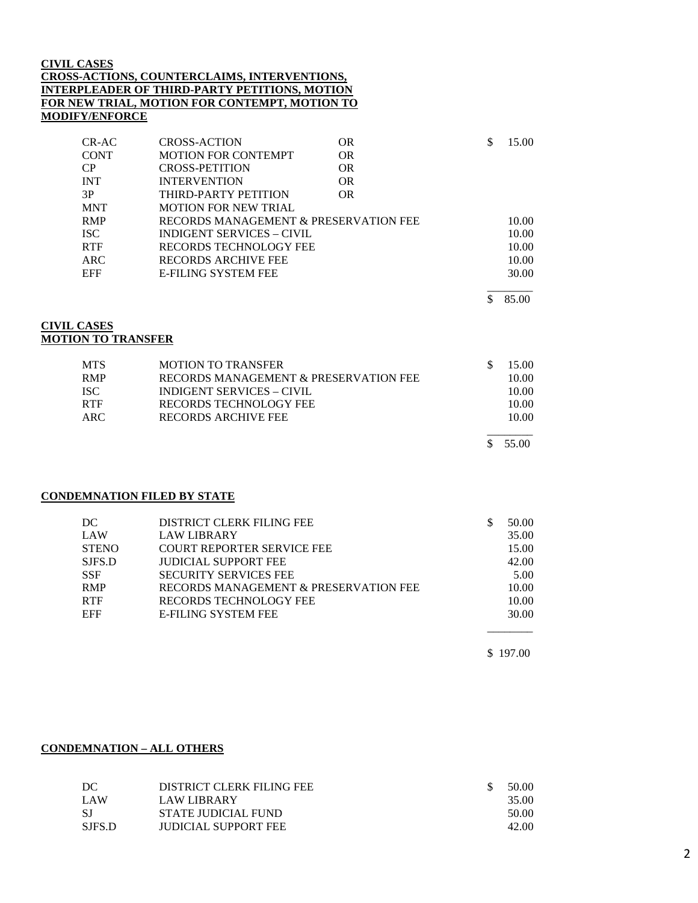#### **CIVIL CASES CROSS-ACTIONS, COUNTERCLAIMS, INTERVENTIONS, INTERPLEADER OF THIRD-PARTY PETITIONS, MOTION FOR NEW TRIAL, MOTION FOR CONTEMPT, MOTION TO MODIFY/ENFORCE**

| $CR-AC$     | <b>CROSS-ACTION</b>                   | 0R  | 15.00 |
|-------------|---------------------------------------|-----|-------|
| <b>CONT</b> | <b>MOTION FOR CONTEMPT</b>            | 0R  |       |
| <b>CP</b>   | <b>CROSS-PETITION</b>                 | OR. |       |
| <b>INT</b>  | <b>INTERVENTION</b>                   | 0R  |       |
| 3P          | THIRD-PARTY PETITION                  | OR. |       |
| <b>MNT</b>  | <b>MOTION FOR NEW TRIAL</b>           |     |       |
| <b>RMP</b>  | RECORDS MANAGEMENT & PRESERVATION FEE |     | 10.00 |
| ISC.        | INDIGENT SERVICES – CIVIL             |     | 10.00 |
| <b>RTF</b>  | RECORDS TECHNOLOGY FEE                |     | 10.00 |
| ARC         | RECORDS ARCHIVE FEE                   |     | 10.00 |
| EFF         | <b>E-FILING SYSTEM FEE</b>            |     | 30.00 |
|             |                                       |     |       |

\$ 85.00

#### **CIVIL CASES MOTION TO TRANSFER**

| <b>MOTION TO TRANSFER</b>             | 15.00 |
|---------------------------------------|-------|
| RECORDS MANAGEMENT & PRESERVATION FEE | 10.00 |
| <b>INDIGENT SERVICES – CIVIL</b>      | 10.00 |
| RECORDS TECHNOLOGY FEE                | 10.00 |
| RECORDS ARCHIVE FEE                   | 10.00 |
|                                       | 55.00 |
|                                       |       |

### **CONDEMNATION FILED BY STATE**

| DC           | DISTRICT CLERK FILING FEE             | 50.00 |
|--------------|---------------------------------------|-------|
| LAW          | <b>LAW LIBRARY</b>                    | 35.00 |
| <b>STENO</b> | <b>COURT REPORTER SERVICE FEE</b>     | 15.00 |
| SJFS.D       | <b>JUDICIAL SUPPORT FEE</b>           | 42.00 |
| <b>SSF</b>   | <b>SECURITY SERVICES FEE</b>          | 5.00  |
| <b>RMP</b>   | RECORDS MANAGEMENT & PRESERVATION FEE | 10.00 |
| <b>RTF</b>   | <b>RECORDS TECHNOLOGY FEE</b>         | 10.00 |
| <b>EFF</b>   | <b>E-FILING SYSTEM FEE</b>            | 30.00 |
|              |                                       |       |

\$ 197.00

#### **CONDEMNATION – ALL OTHERS**

| DC.    | DISTRICT CLERK FILING FEE   | 50.00 |
|--------|-----------------------------|-------|
| LAW    | <b>LAW LIBRARY</b>          | 35.00 |
| -SJ    | STATE JUDICIAL FUND         | 50.00 |
| SJFS.D | <b>JUDICIAL SUPPORT FEE</b> | 42.00 |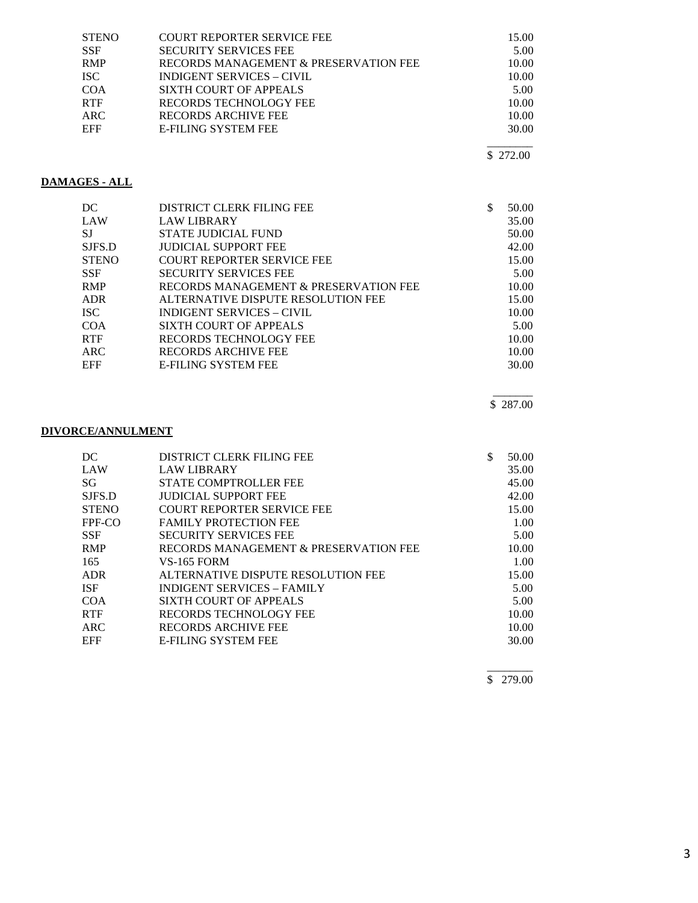| <b>STENO</b> | <b>COURT REPORTER SERVICE FEE</b>     | 15.00 |
|--------------|---------------------------------------|-------|
| <b>SSF</b>   | <b>SECURITY SERVICES FEE</b>          | 5.00  |
| <b>RMP</b>   | RECORDS MANAGEMENT & PRESERVATION FEE | 10.00 |
| <b>ISC</b>   | <b>INDIGENT SERVICES – CIVIL</b>      | 10.00 |
| <b>COA</b>   | SIXTH COURT OF APPEALS                | 5.00  |
| <b>RTF</b>   | <b>RECORDS TECHNOLOGY FEE</b>         | 10.00 |
| ARC.         | RECORDS ARCHIVE FEE                   | 10.00 |
| <b>EFF</b>   | <b>E-FILING SYSTEM FEE</b>            | 30.00 |
|              |                                       |       |

\$ 272.00

### **DAMAGES - ALL**

| DC           | DISTRICT CLERK FILING FEE             | S | 50.00 |
|--------------|---------------------------------------|---|-------|
| <b>LAW</b>   | <b>LAW LIBRARY</b>                    |   | 35.00 |
| <b>SJ</b>    | <b>STATE JUDICIAL FUND</b>            |   | 50.00 |
| SJFS.D       | <b>JUDICIAL SUPPORT FEE</b>           |   | 42.00 |
| <b>STENO</b> | <b>COURT REPORTER SERVICE FEE</b>     |   | 15.00 |
| <b>SSF</b>   | <b>SECURITY SERVICES FEE</b>          |   | 5.00  |
| <b>RMP</b>   | RECORDS MANAGEMENT & PRESERVATION FEE |   | 10.00 |
| <b>ADR</b>   | ALTERNATIVE DISPUTE RESOLUTION FEE    |   | 15.00 |
| <b>ISC</b>   | INDIGENT SERVICES – CIVIL             |   | 10.00 |
| COA          | SIXTH COURT OF APPEALS                |   | 5.00  |
| <b>RTF</b>   | <b>RECORDS TECHNOLOGY FEE</b>         |   | 10.00 |
| ARC          | RECORDS ARCHIVE FEE                   |   | 10.00 |
| <b>EFF</b>   | <b>E-FILING SYSTEM FEE</b>            |   | 30.00 |

 $\overline{\phantom{a}}$ \$ 287.00

### **DIVORCE/ANNULMENT**

| DC           | <b>DISTRICT CLERK FILING FEE</b>      | 50.00 |
|--------------|---------------------------------------|-------|
| LAW          | <b>LAW LIBRARY</b>                    | 35.00 |
| SG           | STATE COMPTROLLER FEE                 | 45.00 |
| SJFS.D       | <b>JUDICIAL SUPPORT FEE</b>           | 42.00 |
| <b>STENO</b> | <b>COURT REPORTER SERVICE FEE</b>     | 15.00 |
| FPF-CO       | <b>FAMILY PROTECTION FEE</b>          | 1.00  |
| <b>SSF</b>   | <b>SECURITY SERVICES FEE</b>          | 5.00  |
| <b>RMP</b>   | RECORDS MANAGEMENT & PRESERVATION FEE | 10.00 |
| 165          | <b>VS-165 FORM</b>                    | 1.00  |
| ADR          | ALTERNATIVE DISPUTE RESOLUTION FEE    | 15.00 |
| <b>ISF</b>   | <b>INDIGENT SERVICES - FAMILY</b>     | 5.00  |
| <b>COA</b>   | SIXTH COURT OF APPEALS                | 5.00  |
| <b>RTF</b>   | RECORDS TECHNOLOGY FEE                | 10.00 |
| <b>ARC</b>   | RECORDS ARCHIVE FEE                   | 10.00 |
| <b>EFF</b>   | <b>E-FILING SYSTEM FEE</b>            | 30.00 |
|              |                                       |       |

 $\overline{\phantom{a}}$ \$ 279.00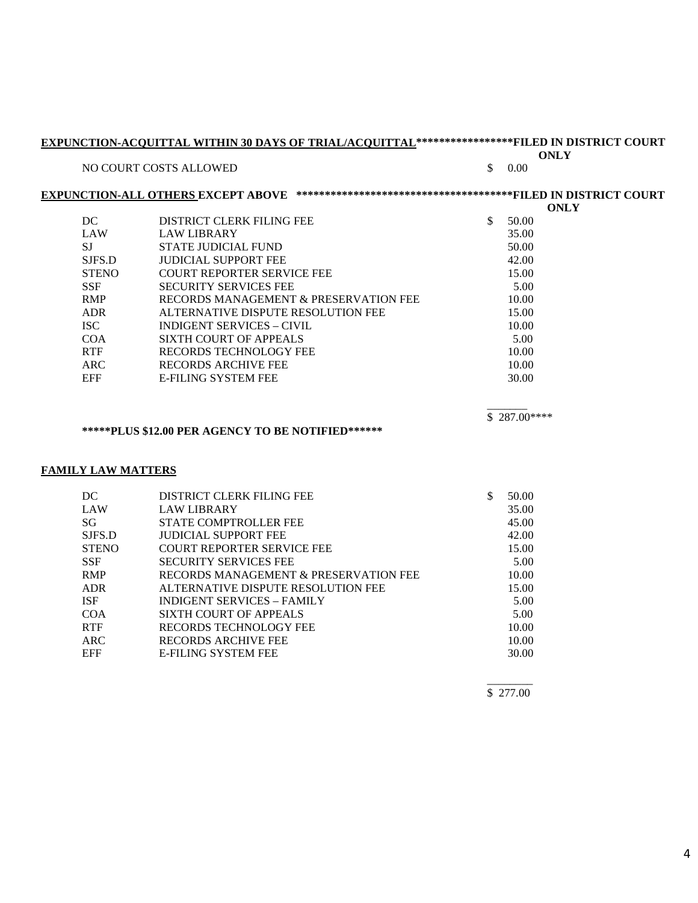| EXPUNCTION-ACQUITTAL WITHIN 30 DAYS OF TRIAL/ACQUITTAL****************FILED IN DISTRICT COURT |                                                                                  |               | <b>ONLY</b> |  |
|-----------------------------------------------------------------------------------------------|----------------------------------------------------------------------------------|---------------|-------------|--|
|                                                                                               | NO COURT COSTS ALLOWED                                                           | \$<br>0.00    |             |  |
|                                                                                               |                                                                                  |               | <b>ONLY</b> |  |
| DC                                                                                            | DISTRICT CLERK FILING FEE                                                        | \$<br>50.00   |             |  |
| <b>LAW</b>                                                                                    | <b>LAW LIBRARY</b>                                                               | 35.00         |             |  |
| <b>SJ</b>                                                                                     | <b>STATE JUDICIAL FUND</b>                                                       | 50.00         |             |  |
| SJFS.D                                                                                        | <b>JUDICIAL SUPPORT FEE</b>                                                      | 42.00         |             |  |
| <b>STENO</b>                                                                                  | COURT REPORTER SERVICE FEE                                                       | 15.00         |             |  |
| <b>SSF</b>                                                                                    | <b>SECURITY SERVICES FEE</b>                                                     | 5.00          |             |  |
| <b>RMP</b>                                                                                    | RECORDS MANAGEMENT & PRESERVATION FEE                                            | 10.00         |             |  |
| <b>ADR</b>                                                                                    | ALTERNATIVE DISPUTE RESOLUTION FEE                                               | 15.00         |             |  |
| <b>ISC</b>                                                                                    | <b>INDIGENT SERVICES - CIVIL</b>                                                 | 10.00         |             |  |
| <b>COA</b>                                                                                    | <b>SIXTH COURT OF APPEALS</b>                                                    | 5.00          |             |  |
| <b>RTF</b>                                                                                    | RECORDS TECHNOLOGY FEE                                                           | 10.00         |             |  |
| <b>ARC</b>                                                                                    | <b>RECORDS ARCHIVE FEE</b>                                                       | 10.00         |             |  |
|                                                                                               |                                                                                  | 30.00         |             |  |
| <b>EFF</b>                                                                                    | <b>E-FILING SYSTEM FEE</b><br>***** PLUS \$12.00 PER AGENCY TO BE NOTIFIED****** | $$287.00***$  |             |  |
|                                                                                               |                                                                                  |               |             |  |
|                                                                                               |                                                                                  |               |             |  |
| DC                                                                                            | DISTRICT CLERK FILING FEE                                                        | \$<br>50.00   |             |  |
| <b>LAW</b>                                                                                    | <b>LAW LIBRARY</b>                                                               | 35.00         |             |  |
| SG                                                                                            | <b>STATE COMPTROLLER FEE</b>                                                     | 45.00         |             |  |
| SJFS.D                                                                                        | <b>JUDICIAL SUPPORT FEE</b>                                                      | 42.00         |             |  |
| <b>STENO</b>                                                                                  | COURT REPORTER SERVICE FEE                                                       | 15.00         |             |  |
| <b>SSF</b><br><b>RMP</b>                                                                      | <b>SECURITY SERVICES FEE</b><br>RECORDS MANAGEMENT & PRESERVATION FEE            | 5.00          |             |  |
|                                                                                               |                                                                                  | 10.00         |             |  |
| <b>FAMILY LAW MATTERS</b><br><b>ADR</b><br><b>ISF</b>                                         | ALTERNATIVE DISPUTE RESOLUTION FEE<br><b>INDIGENT SERVICES - FAMILY</b>          | 15.00<br>5.00 |             |  |
| <b>COA</b>                                                                                    | <b>SIXTH COURT OF APPEALS</b>                                                    | 5.00          |             |  |
| <b>RTF</b>                                                                                    | RECORDS TECHNOLOGY FEE                                                           | 10.00         |             |  |
| <b>ARC</b>                                                                                    | <b>RECORDS ARCHIVE FEE</b>                                                       | 10.00         |             |  |

\$ 277.00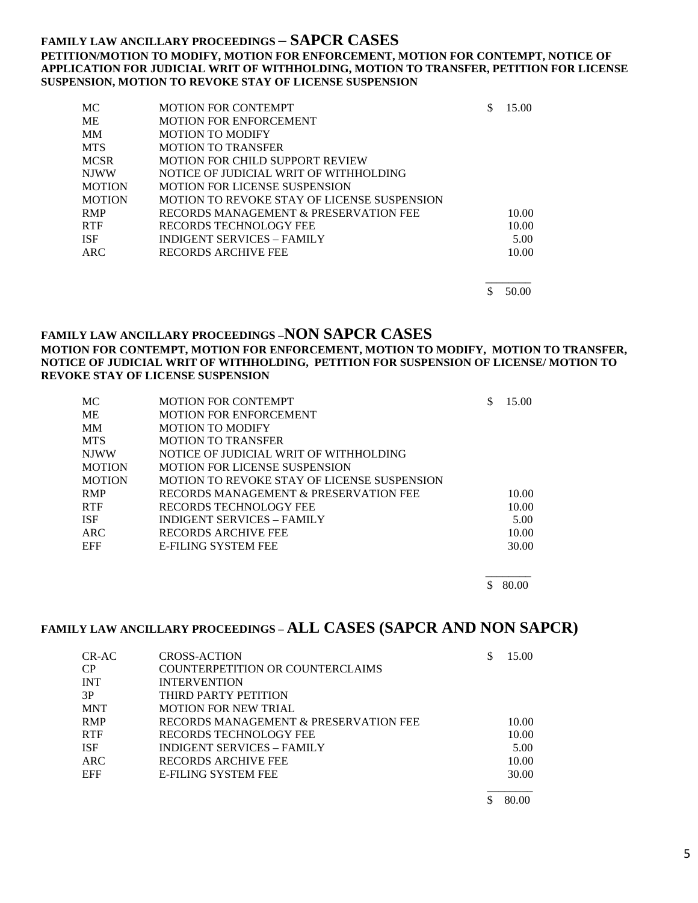### **FAMILY LAW ANCILLARY PROCEEDINGS – SAPCR CASES PETITION/MOTION TO MODIFY, MOTION FOR ENFORCEMENT, MOTION FOR CONTEMPT, NOTICE OF APPLICATION FOR JUDICIAL WRIT OF WITHHOLDING, MOTION TO TRANSFER, PETITION FOR LICENSE SUSPENSION, MOTION TO REVOKE STAY OF LICENSE SUSPENSION**

| MC            | <b>MOTION FOR CONTEMPT</b>                  | 15.00 |
|---------------|---------------------------------------------|-------|
| <b>ME</b>     | <b>MOTION FOR ENFORCEMENT</b>               |       |
| <b>MM</b>     | <b>MOTION TO MODIFY</b>                     |       |
| <b>MTS</b>    | <b>MOTION TO TRANSFER</b>                   |       |
| <b>MCSR</b>   | MOTION FOR CHILD SUPPORT REVIEW             |       |
| <b>NJWW</b>   | NOTICE OF JUDICIAL WRIT OF WITHHOLDING      |       |
| <b>MOTION</b> | <b>MOTION FOR LICENSE SUSPENSION</b>        |       |
| <b>MOTION</b> | MOTION TO REVOKE STAY OF LICENSE SUSPENSION |       |
| <b>RMP</b>    | RECORDS MANAGEMENT & PRESERVATION FEE       | 10.00 |
| <b>RTF</b>    | RECORDS TECHNOLOGY FEE                      | 10.00 |
| <b>ISF</b>    | <b>INDIGENT SERVICES - FAMILY</b>           | 5.00  |
| <b>ARC</b>    | RECORDS ARCHIVE FEE                         | 10.00 |
|               |                                             |       |

 $\overline{\phantom{a}}$  $\frac{$}{50.00}$ 

# **FAMILY LAW ANCILLARY PROCEEDINGS –NON SAPCR CASES**

#### **MOTION FOR CONTEMPT, MOTION FOR ENFORCEMENT, MOTION TO MODIFY, MOTION TO TRANSFER, NOTICE OF JUDICIAL WRIT OF WITHHOLDING, PETITION FOR SUSPENSION OF LICENSE/ MOTION TO REVOKE STAY OF LICENSE SUSPENSION**

| MC.           | <b>MOTION FOR CONTEMPT</b>                  | 15.00 |
|---------------|---------------------------------------------|-------|
| МE            | <b>MOTION FOR ENFORCEMENT</b>               |       |
| MМ            | <b>MOTION TO MODIFY</b>                     |       |
| <b>MTS</b>    | <b>MOTION TO TRANSFER</b>                   |       |
| <b>NJWW</b>   | NOTICE OF JUDICIAL WRIT OF WITHHOLDING      |       |
| <b>MOTION</b> | <b>MOTION FOR LICENSE SUSPENSION</b>        |       |
| <b>MOTION</b> | MOTION TO REVOKE STAY OF LICENSE SUSPENSION |       |
| <b>RMP</b>    | RECORDS MANAGEMENT & PRESERVATION FEE       | 10.00 |
| <b>RTF</b>    | RECORDS TECHNOLOGY FEE                      | 10.00 |
| <b>ISF</b>    | <b>INDIGENT SERVICES – FAMILY</b>           | 5.00  |
| ARC.          | RECORDS ARCHIVE FEE                         | 10.00 |
| <b>EFF</b>    | <b>E-FILING SYSTEM FEE</b>                  | 30.00 |

 $\overline{\phantom{a}}$  $$80.00$ 

## **FAMILY LAW ANCILLARY PROCEEDINGS – ALL CASES (SAPCR AND NON SAPCR)**

| CR-AC | <b>CROSS-ACTION</b>                     | S | 15.00 |
|-------|-----------------------------------------|---|-------|
| CР    | <b>COUNTERPETITION OR COUNTERCLAIMS</b> |   |       |
| INT   | <b>INTERVENTION</b>                     |   |       |
| 3P    | THIRD PARTY PETITION                    |   |       |
| MNT   | <b>MOTION FOR NEW TRIAL</b>             |   |       |
| RMP   | RECORDS MANAGEMENT & PRESERVATION FEE   |   | 10.00 |
| RTF   | RECORDS TECHNOLOGY FEE                  |   | 10.00 |
| ISF   | INDIGENT SERVICES - FAMILY              |   | 5.00  |
| ARC   | RECORDS ARCHIVE FEE                     |   | 10.00 |
| EFF   | <b>E-FILING SYSTEM FEE</b>              |   | 30.00 |
|       |                                         |   | 80.00 |

5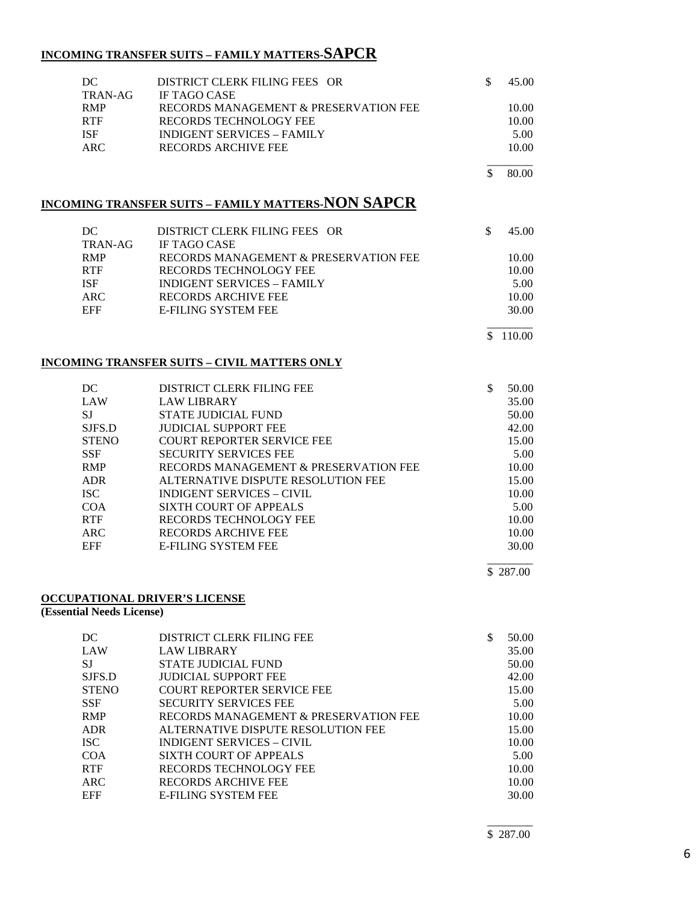## **INCOMING TRANSFER SUITS – FAMILY MATTERS-SAPCR**

| DC<br>TRAN-AG             | DISTRICT CLERK FILING FEES OR<br><b>IF TAGO CASE</b>      | \$           | 45.00    |
|---------------------------|-----------------------------------------------------------|--------------|----------|
| RMP                       | RECORDS MANAGEMENT & PRESERVATION FEE                     |              | 10.00    |
| <b>RTF</b>                | RECORDS TECHNOLOGY FEE                                    |              | 10.00    |
| <b>ISF</b>                | <b>INDIGENT SERVICES - FAMILY</b>                         |              | 5.00     |
| <b>ARC</b>                | <b>RECORDS ARCHIVE FEE</b>                                |              | 10.00    |
|                           |                                                           | \$           | 80.00    |
|                           | <b>INCOMING TRANSFER SUITS - FAMILY MATTERS-NON SAPCR</b> |              |          |
| DC                        | DISTRICT CLERK FILING FEES OR                             | $\mathbb{S}$ | 45.00    |
| TRAN-AG                   | IF TAGO CASE                                              |              |          |
| <b>RMP</b>                | RECORDS MANAGEMENT & PRESERVATION FEE                     |              | 10.00    |
| <b>RTF</b>                | RECORDS TECHNOLOGY FEE                                    |              | 10.00    |
| <b>ISF</b>                | <b>INDIGENT SERVICES - FAMILY</b>                         |              | 5.00     |
| <b>ARC</b>                | RECORDS ARCHIVE FEE                                       |              | 10.00    |
| <b>EFF</b>                | <b>E-FILING SYSTEM FEE</b>                                |              | 30.00    |
|                           |                                                           |              | \$110.00 |
|                           | <b>INCOMING TRANSFER SUITS - CIVIL MATTERS ONLY</b>       |              |          |
| DC                        | DISTRICT CLERK FILING FEE                                 | \$           | 50.00    |
| LAW                       | <b>LAW LIBRARY</b>                                        |              | 35.00    |
| <b>SJ</b>                 | STATE JUDICIAL FUND                                       |              | 50.00    |
| SJFS.D                    | <b>JUDICIAL SUPPORT FEE</b>                               |              | 42.00    |
| <b>STENO</b>              | COURT REPORTER SERVICE FEE                                |              | 15.00    |
| <b>SSF</b>                | <b>SECURITY SERVICES FEE</b>                              |              | 5.00     |
| <b>RMP</b>                | RECORDS MANAGEMENT & PRESERVATION FEE                     |              | 10.00    |
| <b>ADR</b>                | ALTERNATIVE DISPUTE RESOLUTION FEE                        |              | 15.00    |
| <b>ISC</b>                | <b>INDIGENT SERVICES - CIVIL</b>                          |              | 10.00    |
| <b>COA</b>                | <b>SIXTH COURT OF APPEALS</b>                             |              | 5.00     |
| <b>RTF</b>                | RECORDS TECHNOLOGY FEE                                    |              | 10.00    |
| <b>ARC</b>                | RECORDS ARCHIVE FEE                                       |              | 10.00    |
| EFF                       | <b>E-FILING SYSTEM FEE</b>                                |              | 30.00    |
|                           |                                                           |              | \$287.00 |
|                           | <b>OCCUPATIONAL DRIVER'S LICENSE</b>                      |              |          |
| (Essential Needs License) |                                                           |              |          |
| DC                        | DISTRICT CLERK FILING FEE                                 | $\mathbb{S}$ | 50.00    |
| LAW                       | <b>LAW LIBRARY</b>                                        |              | 35.00    |
| $\rm{SJ}$                 | STATE JUDICIAL FUND                                       |              | 50.00    |

SJFS.D JUDICIAL SUPPORT FEE 42.00<br>STENO COURT REPORTER SERVICE FEE 15.00

SSF SECURITY SERVICES FEE 5.00<br>RMP RECORDS MANAGEMENT & PRESERVATION FEE 5.00 RMP RECORDS MANAGEMENT & PRESERVATION FEE 10.00<br>ADR ALTERNATIVE DISPUTE RESOLUTION FEE 15.00

ISC INDIGENT SERVICES – CIVIL 10.00 COA SIXTH COURT OF APPEALS 5.00 RTF RECORDS TECHNOLOGY FEE 10.00 ARC RECORDS ARCHIVE FEE 10.00 EFF E-FILING SYSTEM FEE 30.00

ALTERNATIVE DISPUTE RESOLUTION FEE 15.00

COURT REPORTER SERVICE FEE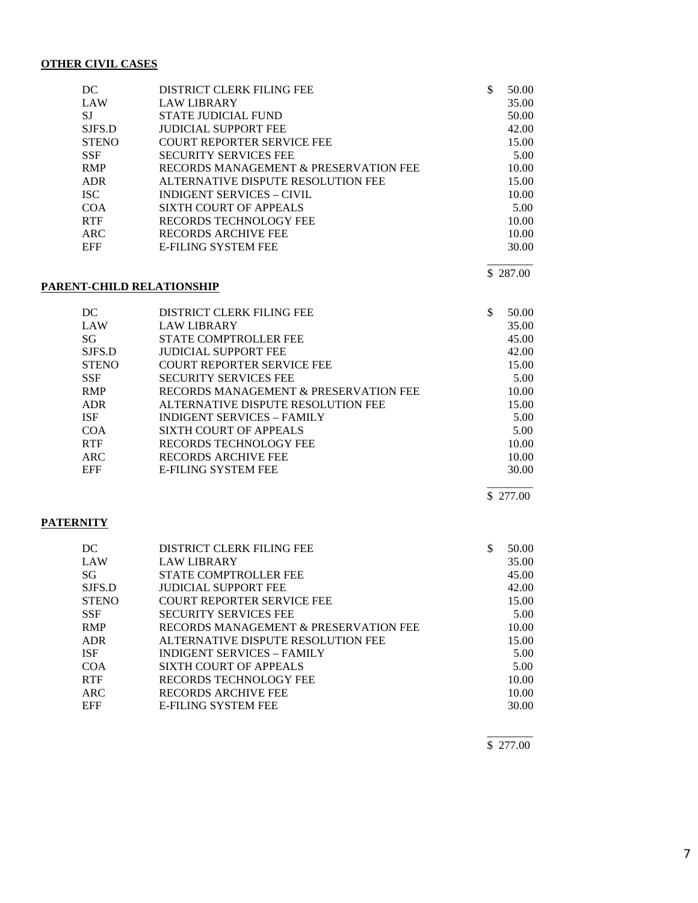#### **OTHER CIVIL CASES**

| DC.          | <b>DISTRICT CLERK FILING FEE</b>      | S | 50.00 |
|--------------|---------------------------------------|---|-------|
| LAW          | <b>LAW LIBRARY</b>                    |   | 35.00 |
| SJ           | STATE JUDICIAL FUND                   |   | 50.00 |
| SJFS.D       | <b>JUDICIAL SUPPORT FEE</b>           |   | 42.00 |
| <b>STENO</b> | COURT REPORTER SERVICE FEE            |   | 15.00 |
| <b>SSF</b>   | <b>SECURITY SERVICES FEE</b>          |   | 5.00  |
| <b>RMP</b>   | RECORDS MANAGEMENT & PRESERVATION FEE |   | 10.00 |
| <b>ADR</b>   | ALTERNATIVE DISPUTE RESOLUTION FEE    |   | 15.00 |
| ISC.         | <b>INDIGENT SERVICES – CIVIL</b>      |   | 10.00 |
| <b>COA</b>   | <b>SIXTH COURT OF APPEALS</b>         |   | 5.00  |
| <b>RTF</b>   | RECORDS TECHNOLOGY FEE                |   | 10.00 |
| ARC          | RECORDS ARCHIVE FEE                   |   | 10.00 |
| <b>EFF</b>   | <b>E-FILING SYSTEM FEE</b>            |   | 30.00 |
|              |                                       |   |       |

#### **PARENT-CHILD RELATIONSHIP**

DC DISTRICT CLERK FILING FEE \$ 50.00<br>LAW LAW LIBRARY 35.00 LAW LIBRARY 35.00<br>STATE COMPTROLLER FEE 45.00 SG STATE COMPTROLLER FEE SJFS.D JUDICIAL SUPPORT FEE 42.00<br>STENO COURT REPORTER SERVICE FEE 15.00 STENO COURT REPORTER SERVICE FEE<br>SERIE 15.000 SECURITY SERVICES FEE SECURITY SERVICES FEE 5.00 RMP RECORDS MANAGEMENT & PRESERVATION FEE 10.00<br>ADR ALTERNATIVE DISPUTE RESOLUTION FEE 15.00 ALTERNATIVE DISPUTE RESOLUTION FEE ISF INDIGENT SERVICES – FAMILY 5.00 COA SIXTH COURT OF APPEALS 5.00<br>RTF RECORDS TECHNOLOGY FEE 10.00 RECORDS TECHNOLOGY FEE ARC RECORDS ARCHIVE FEE 10.00 EFF E-FILING SYSTEM FEE 30.00

#### \_\_\_\_\_\_\_\_ \$ 277.00

\$ 287.00

#### **PATERNITY**

| DС     | DISTRICT CLERK FILING FEE             | \$<br>50.00 |
|--------|---------------------------------------|-------------|
| LAW    | <b>LAW LIBRARY</b>                    | 35.00       |
| SG     | <b>STATE COMPTROLLER FEE</b>          | 45.00       |
| SJFS.D | <b>JUDICIAL SUPPORT FEE</b>           | 42.00       |
| STENO  | <b>COURT REPORTER SERVICE FEE</b>     | 15.00       |
| SSF    | <b>SECURITY SERVICES FEE</b>          | 5.00        |
| RMP    | RECORDS MANAGEMENT & PRESERVATION FEE | 10.00       |
| ADR.   | ALTERNATIVE DISPUTE RESOLUTION FEE    | 15.00       |
| ISF    | <b>INDIGENT SERVICES - FAMILY</b>     | 5.00        |
| COA    | SIXTH COURT OF APPEALS                | 5.00        |
| RTF    | <b>RECORDS TECHNOLOGY FEE</b>         | 10.00       |
| ARC    | <b>RECORDS ARCHIVE FEE</b>            | 10.00       |
| EFF    | <b>E-FILING SYSTEM FEE</b>            | 30.00       |
|        |                                       |             |

 $\overline{\phantom{a}}$ \$ 277.00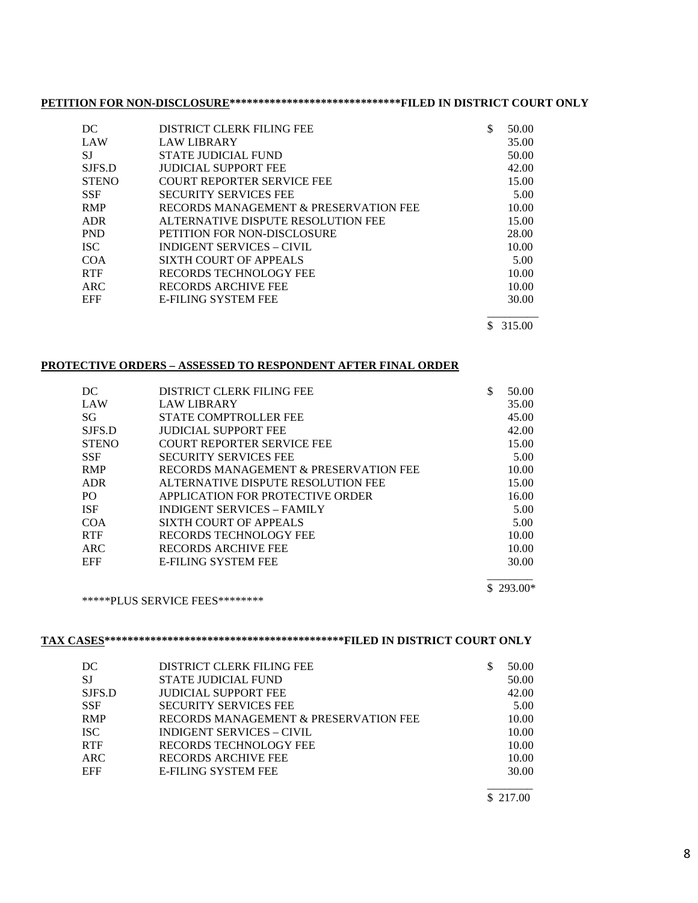# **PETITION FOR NON-DISCLOSURE\*\*\*\*\*\*\*\*\*\*\*\*\*\*\*\*\*\*\*\*\*\*\*\*\*\*\*\*\*\*FILED IN DISTRICT COURT ONLY**

| DC           | DISTRICT CLERK FILING FEE             | \$<br>50.00  |
|--------------|---------------------------------------|--------------|
| LAW          | <b>LAW LIBRARY</b>                    | 35.00        |
| SJ           | STATE JUDICIAL FUND                   | 50.00        |
| SJFS.D       | <b>JUDICIAL SUPPORT FEE</b>           | 42.00        |
| <b>STENO</b> | <b>COURT REPORTER SERVICE FEE</b>     | 15.00        |
| <b>SSF</b>   | <b>SECURITY SERVICES FEE</b>          | 5.00         |
| <b>RMP</b>   | RECORDS MANAGEMENT & PRESERVATION FEE | 10.00        |
| <b>ADR</b>   | ALTERNATIVE DISPUTE RESOLUTION FEE    | 15.00        |
| <b>PND</b>   | PETITION FOR NON-DISCLOSURE           | 28.00        |
| <b>ISC</b>   | <b>INDIGENT SERVICES - CIVIL</b>      | 10.00        |
| <b>COA</b>   | SIXTH COURT OF APPEALS                | 5.00         |
| <b>RTF</b>   | RECORDS TECHNOLOGY FEE                | 10.00        |
| ARC          | RECORDS ARCHIVE FEE                   | 10.00        |
| <b>EFF</b>   | <b>E-FILING SYSTEM FEE</b>            | 30.00        |
|              |                                       | \$<br>315.00 |

### **PROTECTIVE ORDERS – ASSESSED TO RESPONDENT AFTER FINAL ORDER**

| DC           | DISTRICT CLERK FILING FEE             | \$<br>50.00 |
|--------------|---------------------------------------|-------------|
| LAW          | <b>LAW LIBRARY</b>                    | 35.00       |
| SG           | STATE COMPTROLLER FEE                 | 45.00       |
| SJFS.D       | <b>JUDICIAL SUPPORT FEE</b>           | 42.00       |
| <b>STENO</b> | <b>COURT REPORTER SERVICE FEE</b>     | 15.00       |
| <b>SSF</b>   | <b>SECURITY SERVICES FEE</b>          | 5.00        |
| <b>RMP</b>   | RECORDS MANAGEMENT & PRESERVATION FEE | 10.00       |
| <b>ADR</b>   | ALTERNATIVE DISPUTE RESOLUTION FEE    | 15.00       |
| PO.          | APPLICATION FOR PROTECTIVE ORDER      | 16.00       |
| <b>ISF</b>   | INDIGENT SERVICES - FAMILY            | 5.00        |
| COA          | SIXTH COURT OF APPEALS                | 5.00        |
| <b>RTF</b>   | RECORDS TECHNOLOGY FEE                | 10.00       |
| ARC          | RECORDS ARCHIVE FEE                   | 10.00       |
| <b>EFF</b>   | <b>E-FILING SYSTEM FEE</b>            | 30.00       |
|              |                                       |             |

#### \$ 293.00\*

\*\*\*\*\*PLUS SERVICE FEES\*\*\*\*\*\*\*\*

# **TAX CASES\*\*\*\*\*\*\*\*\*\*\*\*\*\*\*\*\*\*\*\*\*\*\*\*\*\*\*\*\*\*\*\*\*\*\*\*\*\*\*\*\*\*FILED IN DISTRICT COURT ONLY**

| DC         | <b>DISTRICT CLERK FILING FEE</b>      | 50.00 |
|------------|---------------------------------------|-------|
| <b>SJ</b>  | STATE JUDICIAL FUND                   | 50.00 |
| SJFS.D     | <b>JUDICIAL SUPPORT FEE</b>           | 42.00 |
| <b>SSF</b> | <b>SECURITY SERVICES FEE</b>          | 5.00  |
| <b>RMP</b> | RECORDS MANAGEMENT & PRESERVATION FEE | 10.00 |
| <b>ISC</b> | <b>INDIGENT SERVICES – CIVIL</b>      | 10.00 |
| <b>RTF</b> | <b>RECORDS TECHNOLOGY FEE</b>         | 10.00 |
| <b>ARC</b> | <b>RECORDS ARCHIVE FEE</b>            | 10.00 |
| EFF        | <b>E-FILING SYSTEM FEE</b>            | 30.00 |
|            |                                       |       |

\$ 217.00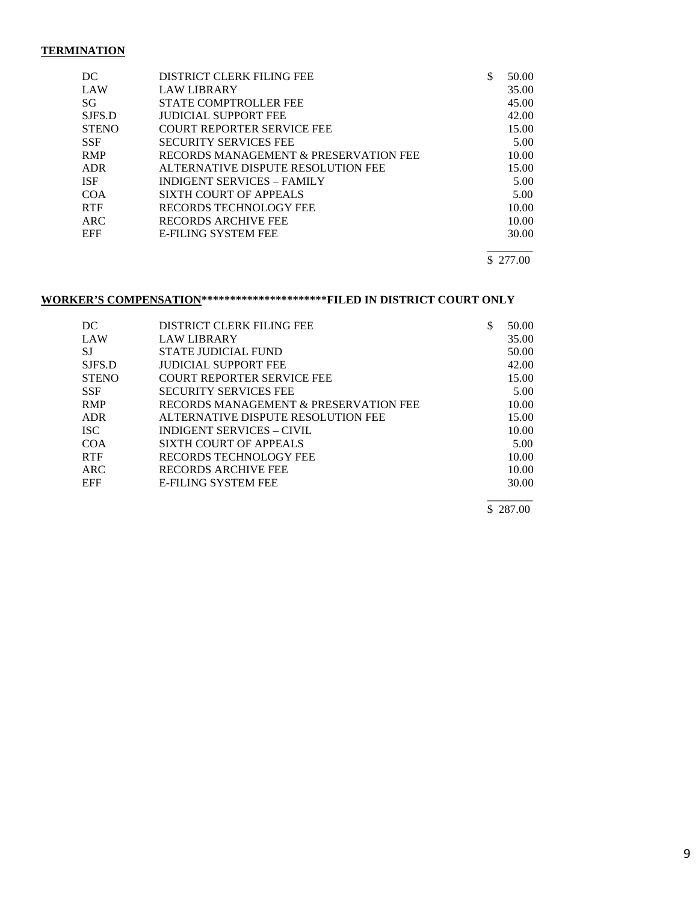### **TERMINATION**

| DC           | <b>DISTRICT CLERK FILING FEE</b>      | S | 50.00 |
|--------------|---------------------------------------|---|-------|
| LAW          | <b>LAW LIBRARY</b>                    |   | 35.00 |
| SG           | <b>STATE COMPTROLLER FEE</b>          |   | 45.00 |
| SJFS.D       | <b>JUDICIAL SUPPORT FEE</b>           |   | 42.00 |
| <b>STENO</b> | <b>COURT REPORTER SERVICE FEE</b>     |   | 15.00 |
| <b>SSF</b>   | <b>SECURITY SERVICES FEE</b>          |   | 5.00  |
| <b>RMP</b>   | RECORDS MANAGEMENT & PRESERVATION FEE |   | 10.00 |
| <b>ADR</b>   | ALTERNATIVE DISPUTE RESOLUTION FEE    |   | 15.00 |
| <b>ISF</b>   | <b>INDIGENT SERVICES – FAMILY</b>     |   | 5.00  |
| COA          | SIXTH COURT OF APPEALS                |   | 5.00  |
| <b>RTF</b>   | RECORDS TECHNOLOGY FEE                |   | 10.00 |
| ARC.         | RECORDS ARCHIVE FEE                   |   | 10.00 |
| <b>EFF</b>   | <b>E-FILING SYSTEM FEE</b>            |   | 30.00 |
|              |                                       |   |       |

\$ 277.00

# **WORKER'S COMPENSATION\*\*\*\*\*\*\*\*\*\*\*\*\*\*\*\*\*\*\*\*\*\*FILED IN DISTRICT COURT ONLY**

| DC           | DISTRICT CLERK FILING FEE             | 50.00 |
|--------------|---------------------------------------|-------|
| LAW          | <b>LAW LIBRARY</b>                    | 35.00 |
|              |                                       |       |
| <b>SJ</b>    | STATE JUDICIAL FUND                   | 50.00 |
| SJFS.D       | <b>JUDICIAL SUPPORT FEE</b>           | 42.00 |
| <b>STENO</b> | <b>COURT REPORTER SERVICE FEE</b>     | 15.00 |
| <b>SSF</b>   | <b>SECURITY SERVICES FEE</b>          | 5.00  |
| <b>RMP</b>   | RECORDS MANAGEMENT & PRESERVATION FEE | 10.00 |
| <b>ADR</b>   | ALTERNATIVE DISPUTE RESOLUTION FEE    | 15.00 |
| <b>ISC</b>   | <b>INDIGENT SERVICES - CIVIL</b>      | 10.00 |
| COA          | SIXTH COURT OF APPEALS                | 5.00  |
| <b>RTF</b>   | RECORDS TECHNOLOGY FEE                | 10.00 |
| ARC          | RECORDS ARCHIVE FEE                   | 10.00 |
| <b>EFF</b>   | <b>E-FILING SYSTEM FEE</b>            | 30.00 |
|              |                                       |       |

\$ 287.00